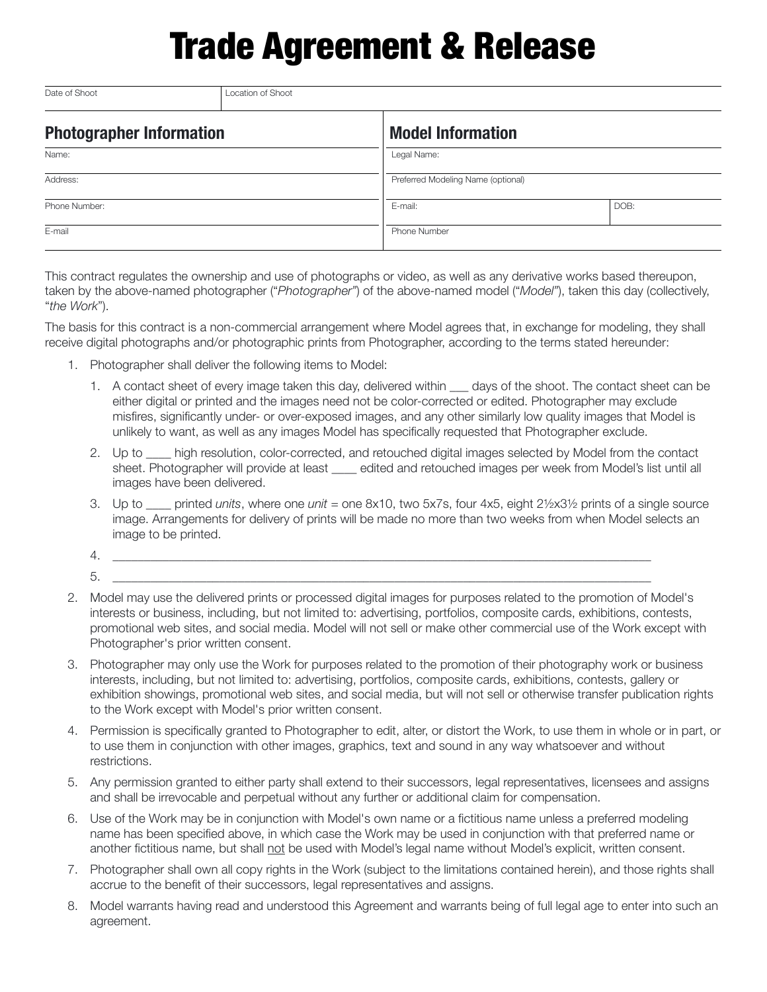## Trade Agreement & Release

| Date of Shoot                   | Location of Shoot |                                    |      |  |  |
|---------------------------------|-------------------|------------------------------------|------|--|--|
| <b>Photographer Information</b> |                   | <b>Model Information</b>           |      |  |  |
| Name:                           |                   | Legal Name:                        |      |  |  |
| Address:                        |                   | Preferred Modeling Name (optional) |      |  |  |
| Phone Number:                   |                   | E-mail:                            | DOB: |  |  |
| E-mail                          |                   | <b>Phone Number</b>                |      |  |  |

This contract regulates the ownership and use of photographs or video, as well as any derivative works based thereupon, taken by the above-named photographer ("*Photographer"*) of the above-named model ("*Model"*), taken this day (collectively, "*the Work*").

The basis for this contract is a non-commercial arrangement where Model agrees that, in exchange for modeling, they shall receive digital photographs and/or photographic prints from Photographer, according to the terms stated hereunder:

- 1. Photographer shall deliver the following items to Model:
	- 1. A contact sheet of every image taken this day, delivered within days of the shoot. The contact sheet can be either digital or printed and the images need not be color-corrected or edited. Photographer may exclude misfires, significantly under- or over-exposed images, and any other similarly low quality images that Model is unlikely to want, as well as any images Model has specifically requested that Photographer exclude.
	- 2. Up to \_\_\_\_ high resolution, color-corrected, and retouched digital images selected by Model from the contact sheet. Photographer will provide at least \_\_\_\_ edited and retouched images per week from Model's list until all images have been delivered.
	- 3. Up to \_\_\_\_ printed *units*, where one *unit* = one 8x10, two 5x7s, four 4x5, eight 2½x3½ prints of a single source image. Arrangements for delivery of prints will be made no more than two weeks from when Model selects an image to be printed.
	- 4. \_\_\_\_\_\_\_\_\_\_\_\_\_\_\_\_\_\_\_\_\_\_\_\_\_\_\_\_\_\_\_\_\_\_\_\_\_\_\_\_\_\_\_\_\_\_\_\_\_\_\_\_\_\_\_\_\_\_\_\_\_\_\_\_\_\_\_\_\_\_\_\_\_\_\_\_\_\_\_\_\_\_\_\_\_\_
	- 5. \_\_\_\_\_\_\_\_\_\_\_\_\_\_\_\_\_\_\_\_\_\_\_\_\_\_\_\_\_\_\_\_\_\_\_\_\_\_\_\_\_\_\_\_\_\_\_\_\_\_\_\_\_\_\_\_\_\_\_\_\_\_\_\_\_\_\_\_\_\_\_\_\_\_\_\_\_\_\_\_\_\_\_\_\_\_
- 2. Model may use the delivered prints or processed digital images for purposes related to the promotion of Model's interests or business, including, but not limited to: advertising, portfolios, composite cards, exhibitions, contests, promotional web sites, and social media. Model will not sell or make other commercial use of the Work except with Photographer's prior written consent.
- 3. Photographer may only use the Work for purposes related to the promotion of their photography work or business interests, including, but not limited to: advertising, portfolios, composite cards, exhibitions, contests, gallery or exhibition showings, promotional web sites, and social media, but will not sell or otherwise transfer publication rights to the Work except with Model's prior written consent.
- 4. Permission is specifically granted to Photographer to edit, alter, or distort the Work, to use them in whole or in part, or to use them in conjunction with other images, graphics, text and sound in any way whatsoever and without restrictions.
- 5. Any permission granted to either party shall extend to their successors, legal representatives, licensees and assigns and shall be irrevocable and perpetual without any further or additional claim for compensation.
- 6. Use of the Work may be in conjunction with Model's own name or a fictitious name unless a preferred modeling name has been specified above, in which case the Work may be used in conjunction with that preferred name or another fictitious name, but shall not be used with Model's legal name without Model's explicit, written consent.
- 7. Photographer shall own all copy rights in the Work (subject to the limitations contained herein), and those rights shall accrue to the benefit of their successors, legal representatives and assigns.
- 8. Model warrants having read and understood this Agreement and warrants being of full legal age to enter into such an agreement.